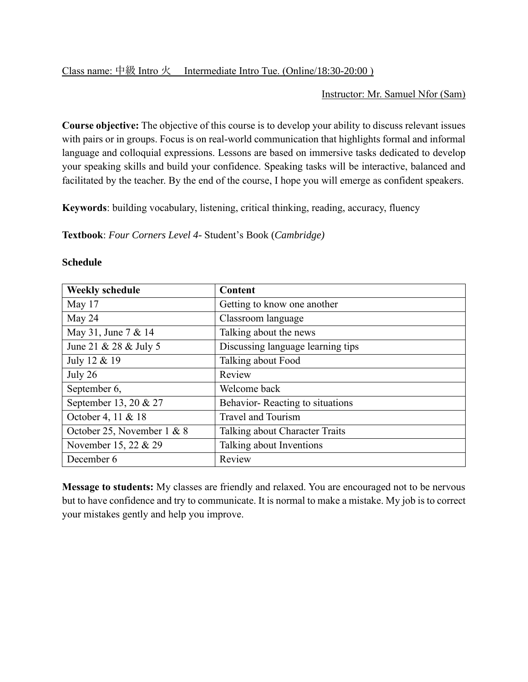## Instructor: Mr. Samuel Nfor (Sam)

**Course objective:** The objective of this course is to develop your ability to discuss relevant issues with pairs or in groups. Focus is on real-world communication that highlights formal and informal language and colloquial expressions. Lessons are based on immersive tasks dedicated to develop your speaking skills and build your confidence. Speaking tasks will be interactive, balanced and facilitated by the teacher. By the end of the course, I hope you will emerge as confident speakers.

**Keywords**: building vocabulary, listening, critical thinking, reading, accuracy, fluency

**Textbook**: *Four Corners Level 4-* Student's Book (*Cambridge)*

| <b>Weekly schedule</b>     | <b>Content</b>                    |
|----------------------------|-----------------------------------|
| May 17                     | Getting to know one another       |
| May 24                     | Classroom language                |
| May 31, June 7 & 14        | Talking about the news            |
| June 21 & 28 & July 5      | Discussing language learning tips |
| July 12 & 19               | Talking about Food                |
| July 26                    | Review                            |
| September 6,               | Welcome back                      |
| September 13, 20 & 27      | Behavior-Reacting to situations   |
| October 4, 11 & 18         | <b>Travel and Tourism</b>         |
| October 25, November 1 & 8 | Talking about Character Traits    |
| November 15, 22 & 29       | Talking about Inventions          |
| December 6                 | Review                            |

## **Schedule**

**Message to students:** My classes are friendly and relaxed. You are encouraged not to be nervous but to have confidence and try to communicate. It is normal to make a mistake. My job is to correct your mistakes gently and help you improve.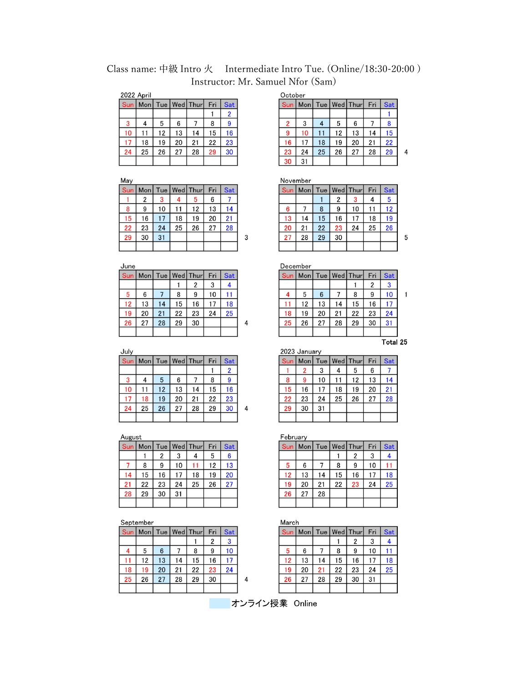Class name: 中級 Intro 火 Intermediate Intro Tue. (Online/18:30-20:00) Instructor: Mr. Samuel Nfor (Sam)

 $\mathbf 3$ 

 $\overline{\mathbf{4}}$ 

| 2022 April |    |    |    |                        |     |     |  |  |  |
|------------|----|----|----|------------------------|-----|-----|--|--|--|
| <b>Sun</b> |    |    |    | Mon   Tue   Wed   Thur | Fri | Sat |  |  |  |
|            |    |    |    |                        |     | 2   |  |  |  |
| 3          | 4  | 5  | 6  |                        | 8   | 9   |  |  |  |
| 10         | 11 | 12 | 13 | 14                     | 15  | 16  |  |  |  |
| 17         | 18 | 19 | 20 | 21                     | 22  | 23  |  |  |  |
| 24         | 25 | 26 | 27 | 28                     | 29  | 30  |  |  |  |
|            |    |    |    |                        |     |     |  |  |  |

 $M<sub>c</sub>$ 

| May |            |    |    |                  |     |            |
|-----|------------|----|----|------------------|-----|------------|
| Sun | <b>Mon</b> |    |    | Tue   Wed   Thur | Fri | <b>Sat</b> |
|     | 2          | 3  |    | -5               | 6   |            |
| 8   | 9          | 10 | 11 | 12               | 13  | 14         |
| 15  | 16         | 17 | 18 | 19               | 20  | 21         |
| 22  | 23         | 24 | 25 | 26               | 27  | 28         |
| 29  | 30         | 31 |    |                  |     |            |
|     |            |    |    |                  |     |            |

|--|

|    |    |    |    | Sun   Mon   Tue   Wed   Thur | Fri | <b>Sat</b> |
|----|----|----|----|------------------------------|-----|------------|
|    |    |    |    | 2                            | 3   |            |
| 5  | 6  |    | 8  | 9                            | 10  |            |
| 12 | 13 | 14 | 15 | 16                           | 17  | 18         |
| 19 | 20 | 21 | 22 | 23                           | 24  | 25         |
| 26 | 27 | 28 | 29 | 30                           |     |            |
|    |    |    |    |                              |     |            |

July

| Sun   Mon   Tue   Wed   Thur |    |    |    |    | Fri | <b>Sat</b> |  |
|------------------------------|----|----|----|----|-----|------------|--|
|                              |    |    |    |    |     | 2          |  |
|                              |    | 5  | 6  |    | 8   | -9         |  |
| 10                           |    | 12 | 13 | 14 | 15  | 16         |  |
| 17                           | 18 | 19 | 20 | 21 | 22  | 23         |  |
| 24                           | 25 | 26 | 27 | 28 | 29  | 30         |  |
|                              |    |    |    |    |     |            |  |

## August

| <b>Sun</b> |    |    |    | Mon   Tue   Wed   Thur | Fri | Sat |
|------------|----|----|----|------------------------|-----|-----|
|            |    | 2  | 3  | 4                      | 5   | 6   |
|            | 8  | 9  | 10 |                        | 12  | 13  |
| 14         | 15 | 16 | 17 | 18                     | 19  | 20  |
| 21         | 22 | 23 | 24 | 25                     | 26  | 27  |
| 28         | 29 | 30 | 31 |                        |     |     |
|            |    |    |    |                        |     |     |

## September

|    |    |    |    | Sun   Mon   Tue   Wed   Thur | Fri | <b>Sat</b> |  |
|----|----|----|----|------------------------------|-----|------------|--|
|    |    |    |    |                              | 2   | -3         |  |
|    | 5  | 6  |    | 8                            |     | 10         |  |
|    | 12 | 13 | 14 | 15                           | 16  |            |  |
| 18 | 19 | 20 | 21 | 22                           | 23  | 24         |  |
| 25 | 26 | 27 | 28 | 29                           | 30  |            |  |
|    |    |    |    |                              |     |            |  |

| October        |                      |    |    |    |     |            |   |
|----------------|----------------------|----|----|----|-----|------------|---|
|                | Sun Mon Tue Wed Thur |    |    |    | Fri | <b>Sat</b> |   |
|                |                      |    |    |    |     |            |   |
| $\overline{2}$ | 3                    |    | 5  | 6  |     | 8          |   |
| 9              | 10                   | 11 | 12 | 13 | 14  | 15         |   |
| 16             | 17                   | 18 | 19 | 20 | 21  | 22         |   |
| 23             | 24                   | 25 | 26 | 27 | 28  | 29         | 4 |
| 30             | 31                   |    |    |    |     |            |   |

November

|                 |    |    |    | Sun   Mon   Tue   Wed   Thur | Fri | <b>Sat</b> |
|-----------------|----|----|----|------------------------------|-----|------------|
|                 |    |    | 2  |                              |     | 5          |
| $6\phantom{1}6$ |    | 8  | 9  | 10                           |     | 12         |
| 13              | 14 | 15 | 16 | 17                           | 18  | 19         |
| 20              | 21 | 22 | 23 | 24                           | 25  | 26         |
| 27              | 28 | 29 | 30 |                              |     |            |
|                 |    |    |    |                              |     |            |

 $\sqrt{5}$ 

| December   |          |    |                  |    |     |            |  |  |  |  |
|------------|----------|----|------------------|----|-----|------------|--|--|--|--|
| <b>Sun</b> | Mon      |    | Tue   Wed   Thur |    | Fri | <b>Sat</b> |  |  |  |  |
|            |          |    |                  |    | 2   |            |  |  |  |  |
|            | 5        | 6  |                  | 8  | 9   | 10         |  |  |  |  |
| 11         | 12       | 13 | 14               | 15 | 16  |            |  |  |  |  |
| 18         | 19       | 20 | 21               | 22 | 23  | 24         |  |  |  |  |
| 25         | 26       | 27 | 28               | 29 | 30  | 31         |  |  |  |  |
|            |          |    |                  |    |     |            |  |  |  |  |
|            | Total 25 |    |                  |    |     |            |  |  |  |  |

| 2023 January |                |    |                  |    |     |            |  |  |  |
|--------------|----------------|----|------------------|----|-----|------------|--|--|--|
| Sun          | Mon            |    | Tue   Wed   Thur |    | Fri | <b>Sat</b> |  |  |  |
|              | $\overline{2}$ | 3  |                  | 5  | 6   |            |  |  |  |
| 8            | 9              | 10 | 11               | 12 | 13  | 14         |  |  |  |
| 15           | 16             | 17 | 18               | 19 | 20  | 21         |  |  |  |
| 22           | 23             | 24 | 25               | 26 | 27  | 28         |  |  |  |
| 29           | 30             | 31 |                  |    |     |            |  |  |  |
|              |                |    |                  |    |     |            |  |  |  |

February

|    |    |    |    | Sun   Mon   Tue   Wed   Thur | Fri | Sat |
|----|----|----|----|------------------------------|-----|-----|
|    |    |    |    | 2                            | 3   |     |
| 5  | 6  |    | 8  | 9                            | 10  | 11  |
| 12 | 13 | 14 | 15 | 16                           | 17  | 18  |
| 19 | 20 | 21 | 22 | 23                           | 24  | 25  |
| 26 | 27 | 28 |    |                              |     |     |
|    |    |    |    |                              |     |     |

March

| .  |    |    |    |                      |     |     |  |  |  |
|----|----|----|----|----------------------|-----|-----|--|--|--|
|    |    |    |    | Sun Mon Tue Wed Thur | Fri | Sat |  |  |  |
|    |    |    |    | 2                    | 3   |     |  |  |  |
| 5  | 6  |    | 8  | 9                    | 10  |     |  |  |  |
| 12 | 13 | 14 | 15 | 16                   | 17  | 18  |  |  |  |
| 19 | 20 | 21 | 22 | 23                   | 24  | 25  |  |  |  |
| 26 | 27 | 28 | 29 | 30                   | 31  |     |  |  |  |
|    |    |    |    |                      |     |     |  |  |  |

オンライン授業 Online